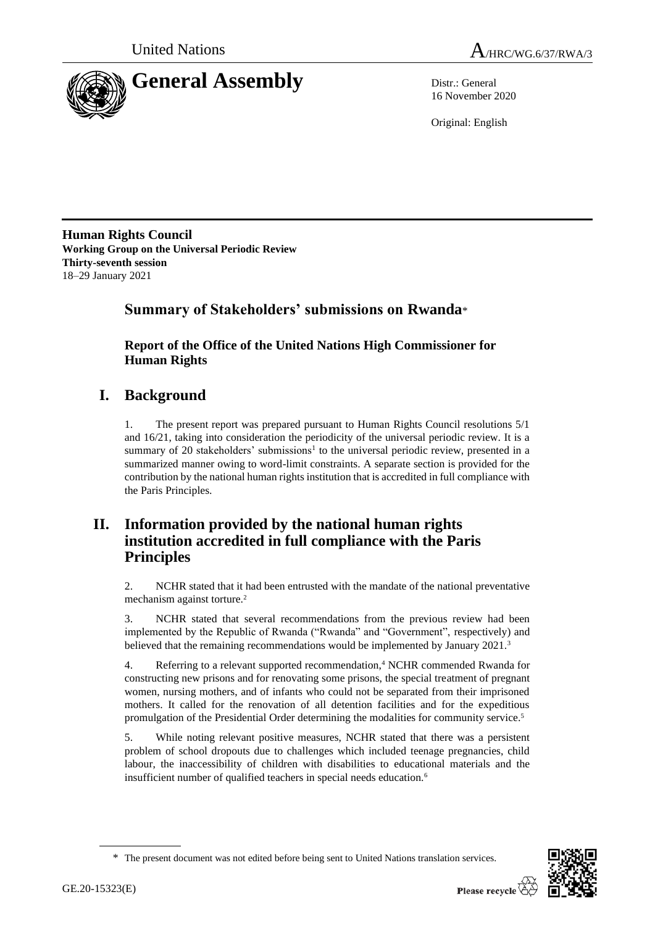



16 November 2020

Original: English

**Human Rights Council Working Group on the Universal Periodic Review Thirty-seventh session** 18–29 January 2021

# **Summary of Stakeholders' submissions on Rwanda**\*

**Report of the Office of the United Nations High Commissioner for Human Rights**

# **I. Background**

1. The present report was prepared pursuant to Human Rights Council resolutions 5/1 and 16/21, taking into consideration the periodicity of the universal periodic review. It is a summary of 20 stakeholders' submissions<sup>1</sup> to the universal periodic review, presented in a summarized manner owing to word-limit constraints. A separate section is provided for the contribution by the national human rights institution that is accredited in full compliance with the Paris Principles.

# **II. Information provided by the national human rights institution accredited in full compliance with the Paris Principles**

2. NCHR stated that it had been entrusted with the mandate of the national preventative mechanism against torture.<sup>2</sup>

3. NCHR stated that several recommendations from the previous review had been implemented by the Republic of Rwanda ("Rwanda" and "Government", respectively) and believed that the remaining recommendations would be implemented by January 2021.<sup>3</sup>

4. Referring to a relevant supported recommendation,<sup>4</sup> NCHR commended Rwanda for constructing new prisons and for renovating some prisons, the special treatment of pregnant women, nursing mothers, and of infants who could not be separated from their imprisoned mothers. It called for the renovation of all detention facilities and for the expeditious promulgation of the Presidential Order determining the modalities for community service.<sup>5</sup>

5. While noting relevant positive measures, NCHR stated that there was a persistent problem of school dropouts due to challenges which included teenage pregnancies, child labour, the inaccessibility of children with disabilities to educational materials and the insufficient number of qualified teachers in special needs education.<sup>6</sup>

<sup>\*</sup> The present document was not edited before being sent to United Nations translation services.

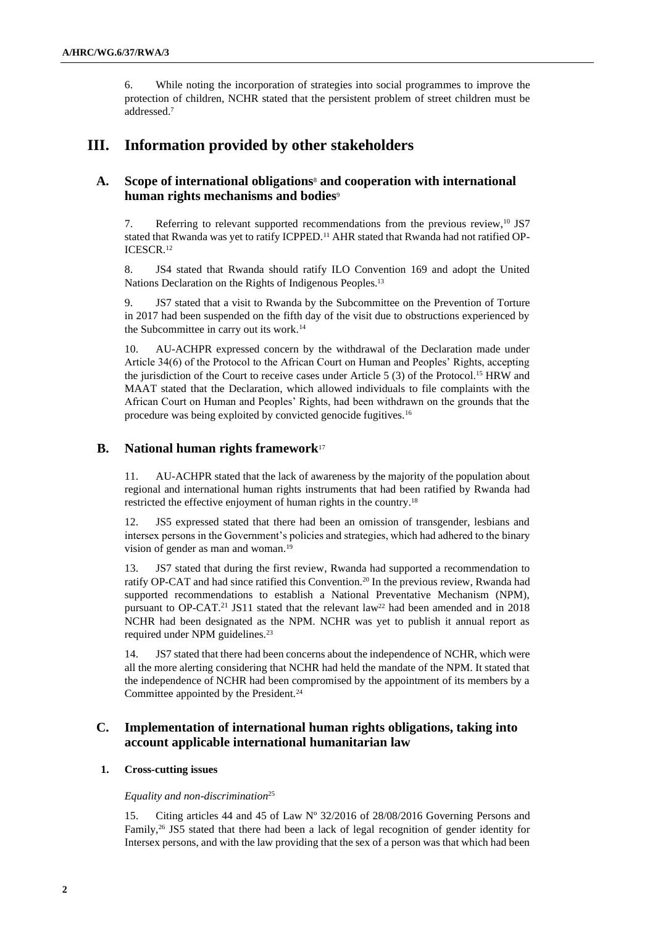6. While noting the incorporation of strategies into social programmes to improve the protection of children, NCHR stated that the persistent problem of street children must be addressed. 7

## **III. Information provided by other stakeholders**

## **A. Scope of international obligations**<sup>8</sup> **and cooperation with international human rights mechanisms and bodies**<sup>9</sup>

7. Referring to relevant supported recommendations from the previous review,<sup>10</sup> JS7 stated that Rwanda was yet to ratify ICPPED.<sup>11</sup> AHR stated that Rwanda had not ratified OP-ICESCR.<sup>12</sup>

8. JS4 stated that Rwanda should ratify ILO Convention 169 and adopt the United Nations Declaration on the Rights of Indigenous Peoples.<sup>13</sup>

9. JS7 stated that a visit to Rwanda by the Subcommittee on the Prevention of Torture in 2017 had been suspended on the fifth day of the visit due to obstructions experienced by the Subcommittee in carry out its work.<sup>14</sup>

10. AU-ACHPR expressed concern by the withdrawal of the Declaration made under Article 34(6) of the Protocol to the African Court on Human and Peoples' Rights, accepting the jurisdiction of the Court to receive cases under Article 5  $(3)$  of the Protocol.<sup>15</sup> HRW and MAAT stated that the Declaration, which allowed individuals to file complaints with the African Court on Human and Peoples' Rights, had been withdrawn on the grounds that the procedure was being exploited by convicted genocide fugitives.<sup>16</sup>

## **B. National human rights framework**<sup>17</sup>

11. AU-ACHPR stated that the lack of awareness by the majority of the population about regional and international human rights instruments that had been ratified by Rwanda had restricted the effective enjoyment of human rights in the country.<sup>18</sup>

12. JS5 expressed stated that there had been an omission of transgender, lesbians and intersex persons in the Government's policies and strategies, which had adhered to the binary vision of gender as man and woman.<sup>19</sup>

13. JS7 stated that during the first review, Rwanda had supported a recommendation to ratify OP-CAT and had since ratified this Convention.<sup>20</sup> In the previous review, Rwanda had supported recommendations to establish a National Preventative Mechanism (NPM), pursuant to OP-CAT.<sup>21</sup> JS11 stated that the relevant law<sup>22</sup> had been amended and in 2018 NCHR had been designated as the NPM. NCHR was yet to publish it annual report as required under NPM guidelines.<sup>23</sup>

14. JS7 stated that there had been concerns about the independence of NCHR, which were all the more alerting considering that NCHR had held the mandate of the NPM. It stated that the independence of NCHR had been compromised by the appointment of its members by a Committee appointed by the President.<sup>24</sup>

## **C. Implementation of international human rights obligations, taking into account applicable international humanitarian law**

## **1. Cross-cutting issues**

#### *Equality and non-discrimination*<sup>25</sup>

15. Citing articles 44 and 45 of Law Nº 32/2016 of 28/08/2016 Governing Persons and Family,<sup>26</sup> JS5 stated that there had been a lack of legal recognition of gender identity for Intersex persons, and with the law providing that the sex of a person was that which had been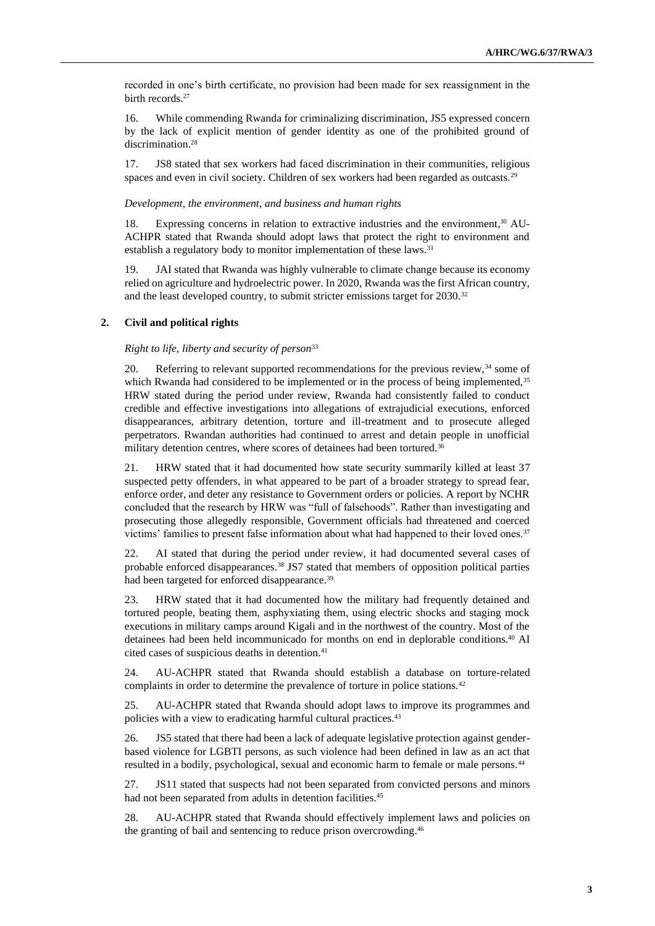recorded in one's birth certificate, no provision had been made for sex reassignment in the birth records.<sup>27</sup>

16. While commending Rwanda for criminalizing discrimination, JS5 expressed concern by the lack of explicit mention of gender identity as one of the prohibited ground of discrimination.<sup>28</sup>

17. JS8 stated that sex workers had faced discrimination in their communities, religious spaces and even in civil society. Children of sex workers had been regarded as outcasts.<sup>29</sup>

#### *Development, the environment, and business and human rights*

18. Expressing concerns in relation to extractive industries and the environment, <sup>30</sup> AU-ACHPR stated that Rwanda should adopt laws that protect the right to environment and establish a regulatory body to monitor implementation of these laws.<sup>31</sup>

19. JAI stated that Rwanda was highly vulnerable to climate change because its economy relied on agriculture and hydroelectric power. In 2020, Rwanda was the first African country, and the least developed country, to submit stricter emissions target for 2030.<sup>32</sup>

### **2. Civil and political rights**

#### *Right to life, liberty and security of person*<sup>33</sup>

20. Referring to relevant supported recommendations for the previous review,<sup>34</sup> some of which Rwanda had considered to be implemented or in the process of being implemented,<sup>35</sup> HRW stated during the period under review, Rwanda had consistently failed to conduct credible and effective investigations into allegations of extrajudicial executions, enforced disappearances, arbitrary detention, torture and ill-treatment and to prosecute alleged perpetrators. Rwandan authorities had continued to arrest and detain people in unofficial military detention centres, where scores of detainees had been tortured.<sup>36</sup>

21. HRW stated that it had documented how state security summarily killed at least 37 suspected petty offenders, in what appeared to be part of a broader strategy to spread fear, enforce order, and deter any resistance to Government orders or policies. A report by NCHR concluded that the research by HRW was "full of falsehoods". Rather than investigating and prosecuting those allegedly responsible, Government officials had threatened and coerced victims' families to present false information about what had happened to their loved ones.<sup>37</sup>

22. AI stated that during the period under review, it had documented several cases of probable enforced disappearances.<sup>38</sup> JS7 stated that members of opposition political parties had been targeted for enforced disappearance.<sup>39</sup>

23. HRW stated that it had documented how the military had frequently detained and tortured people, beating them, asphyxiating them, using electric shocks and staging mock executions in military camps around Kigali and in the northwest of the country. Most of the detainees had been held incommunicado for months on end in deplorable conditions.<sup>40</sup> AI cited cases of suspicious deaths in detention.<sup>41</sup>

24. AU-ACHPR stated that Rwanda should establish a database on torture-related complaints in order to determine the prevalence of torture in police stations.<sup>42</sup>

25. AU-ACHPR stated that Rwanda should adopt laws to improve its programmes and policies with a view to eradicating harmful cultural practices. 43

26. JS5 stated that there had been a lack of adequate legislative protection against genderbased violence for LGBTI persons, as such violence had been defined in law as an act that resulted in a bodily, psychological, sexual and economic harm to female or male persons.<sup>44</sup>

27. JS11 stated that suspects had not been separated from convicted persons and minors had not been separated from adults in detention facilities.<sup>45</sup>

28. AU-ACHPR stated that Rwanda should effectively implement laws and policies on the granting of bail and sentencing to reduce prison overcrowding.<sup>46</sup>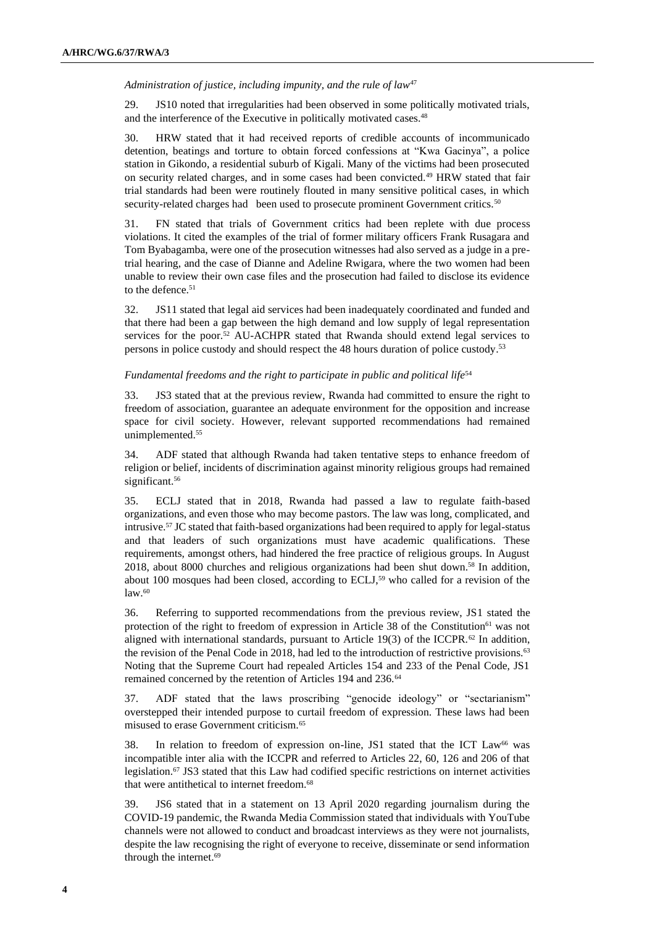#### *Administration of justice, including impunity, and the rule of law*<sup>47</sup>

29. JS10 noted that irregularities had been observed in some politically motivated trials, and the interference of the Executive in politically motivated cases.<sup>48</sup>

30. HRW stated that it had received reports of credible accounts of incommunicado detention, beatings and torture to obtain forced confessions at "Kwa Gacinya", a police station in Gikondo, a residential suburb of Kigali. Many of the victims had been prosecuted on security related charges, and in some cases had been convicted.<sup>49</sup> HRW stated that fair trial standards had been were routinely flouted in many sensitive political cases, in which security-related charges had been used to prosecute prominent Government critics.<sup>50</sup>

31. FN stated that trials of Government critics had been replete with due process violations. It cited the examples of the trial of former military officers Frank Rusagara and Tom Byabagamba, were one of the prosecution witnesses had also served as a judge in a pretrial hearing, and the case of Dianne and Adeline Rwigara, where the two women had been unable to review their own case files and the prosecution had failed to disclose its evidence to the defence.<sup>51</sup>

32. JS11 stated that legal aid services had been inadequately coordinated and funded and that there had been a gap between the high demand and low supply of legal representation services for the poor.<sup>52</sup> AU-ACHPR stated that Rwanda should extend legal services to persons in police custody and should respect the 48 hours duration of police custody. 53

#### *Fundamental freedoms and the right to participate in public and political life*<sup>54</sup>

33. JS3 stated that at the previous review, Rwanda had committed to ensure the right to freedom of association, guarantee an adequate environment for the opposition and increase space for civil society. However, relevant supported recommendations had remained unimplemented.<sup>55</sup>

34. ADF stated that although Rwanda had taken tentative steps to enhance freedom of religion or belief, incidents of discrimination against minority religious groups had remained significant.<sup>56</sup>

35. ECLJ stated that in 2018, Rwanda had passed a law to regulate faith-based organizations, and even those who may become pastors. The law was long, complicated, and intrusive.<sup>57</sup> JC stated that faith-based organizations had been required to apply for legal-status and that leaders of such organizations must have academic qualifications. These requirements, amongst others, had hindered the free practice of religious groups. In August 2018, about 8000 churches and religious organizations had been shut down.<sup>58</sup> In addition, about 100 mosques had been closed, according to  $ECLJ$ ,<sup>59</sup> who called for a revision of the  $law<sup>60</sup>$ 

36. Referring to supported recommendations from the previous review, JS1 stated the protection of the right to freedom of expression in Article 38 of the Constitution<sup>61</sup> was not aligned with international standards, pursuant to Article 19(3) of the ICCPR. $62$  In addition, the revision of the Penal Code in 2018, had led to the introduction of restrictive provisions.<sup>63</sup> Noting that the Supreme Court had repealed Articles 154 and 233 of the Penal Code, JS1 remained concerned by the retention of Articles 194 and 236.<sup>64</sup>

37. ADF stated that the laws proscribing "genocide ideology" or "sectarianism" overstepped their intended purpose to curtail freedom of expression. These laws had been misused to erase Government criticism.<sup>65</sup>

38. In relation to freedom of expression on-line, JS1 stated that the ICT Law<sup>66</sup> was incompatible inter alia with the ICCPR and referred to Articles 22, 60, 126 and 206 of that legislation.<sup>67</sup> JS3 stated that this Law had codified specific restrictions on internet activities that were antithetical to internet freedom.<sup>68</sup>

39. JS6 stated that in a statement on 13 April 2020 regarding journalism during the COVID-19 pandemic, the Rwanda Media Commission stated that individuals with YouTube channels were not allowed to conduct and broadcast interviews as they were not journalists, despite the law recognising the right of everyone to receive, disseminate or send information through the internet.<sup>69</sup>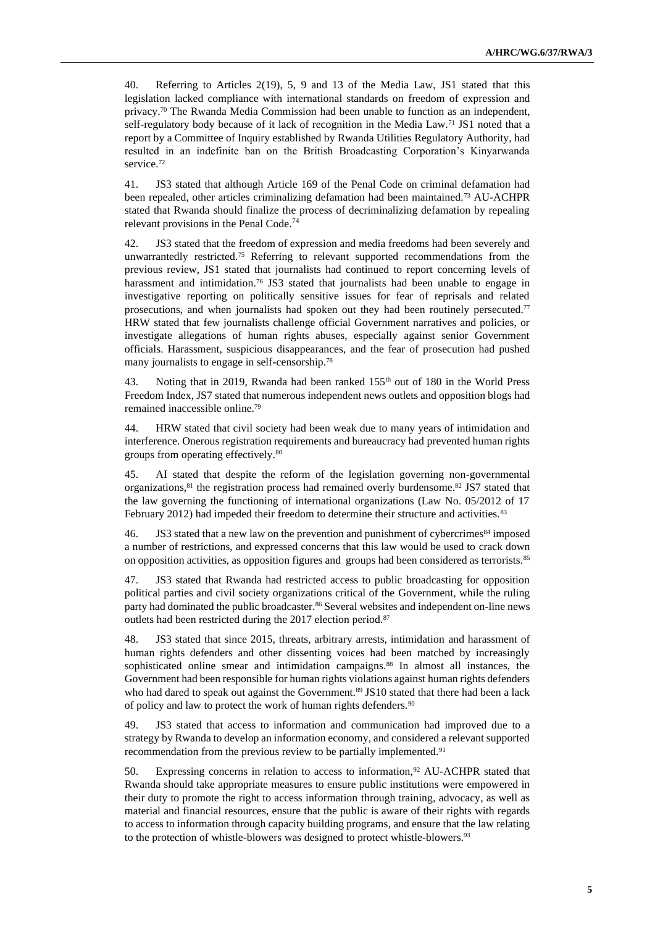40. Referring to Articles 2(19), 5, 9 and 13 of the Media Law, JS1 stated that this legislation lacked compliance with international standards on freedom of expression and privacy.<sup>70</sup> The Rwanda Media Commission had been unable to function as an independent, self-regulatory body because of it lack of recognition in the Media Law.<sup>71</sup> JS1 noted that a report by a Committee of Inquiry established by Rwanda Utilities Regulatory Authority, had resulted in an indefinite ban on the British Broadcasting Corporation's Kinyarwanda service.<sup>72</sup>

41. JS3 stated that although Article 169 of the Penal Code on criminal defamation had been repealed, other articles criminalizing defamation had been maintained.<sup>73</sup> AU-ACHPR stated that Rwanda should finalize the process of decriminalizing defamation by repealing relevant provisions in the Penal Code.<sup>74</sup>

42. JS3 stated that the freedom of expression and media freedoms had been severely and unwarrantedly restricted.<sup>75</sup> Referring to relevant supported recommendations from the previous review, JS1 stated that journalists had continued to report concerning levels of harassment and intimidation.<sup>76</sup> JS3 stated that journalists had been unable to engage in investigative reporting on politically sensitive issues for fear of reprisals and related prosecutions, and when journalists had spoken out they had been routinely persecuted.<sup>77</sup> HRW stated that few journalists challenge official Government narratives and policies, or investigate allegations of human rights abuses, especially against senior Government officials. Harassment, suspicious disappearances, and the fear of prosecution had pushed many journalists to engage in self-censorship.<sup>78</sup>

43. Noting that in 2019, Rwanda had been ranked 155<sup>th</sup> out of 180 in the World Press Freedom Index, JS7 stated that numerous independent news outlets and opposition blogs had remained inaccessible online. 79

44. HRW stated that civil society had been weak due to many years of intimidation and interference. Onerous registration requirements and bureaucracy had prevented human rights groups from operating effectively.<sup>80</sup>

45. AI stated that despite the reform of the legislation governing non-governmental organizations,<sup>81</sup> the registration process had remained overly burdensome. <sup>82</sup> JS7 stated that the law governing the functioning of international organizations (Law No. 05/2012 of 17 February 2012) had impeded their freedom to determine their structure and activities.<sup>83</sup>

46. JS3 stated that a new law on the prevention and punishment of cybercrimes<sup>84</sup> imposed a number of restrictions, and expressed concerns that this law would be used to crack down on opposition activities, as opposition figures and groups had been considered as terrorists.<sup>85</sup>

JS3 stated that Rwanda had restricted access to public broadcasting for opposition political parties and civil society organizations critical of the Government, while the ruling party had dominated the public broadcaster.<sup>86</sup> Several websites and independent on-line news outlets had been restricted during the 2017 election period.<sup>87</sup>

48. JS3 stated that since 2015, threats, arbitrary arrests, intimidation and harassment of human rights defenders and other dissenting voices had been matched by increasingly sophisticated online smear and intimidation campaigns.<sup>88</sup> In almost all instances, the Government had been responsible for human rights violations against human rights defenders who had dared to speak out against the Government.<sup>89</sup> JS10 stated that there had been a lack of policy and law to protect the work of human rights defenders.<sup>90</sup>

49. JS3 stated that access to information and communication had improved due to a strategy by Rwanda to develop an information economy, and considered a relevant supported recommendation from the previous review to be partially implemented.<sup>91</sup>

50. Expressing concerns in relation to access to information,<sup>92</sup> AU-ACHPR stated that Rwanda should take appropriate measures to ensure public institutions were empowered in their duty to promote the right to access information through training, advocacy, as well as material and financial resources, ensure that the public is aware of their rights with regards to access to information through capacity building programs, and ensure that the law relating to the protection of whistle-blowers was designed to protect whistle-blowers.<sup>93</sup>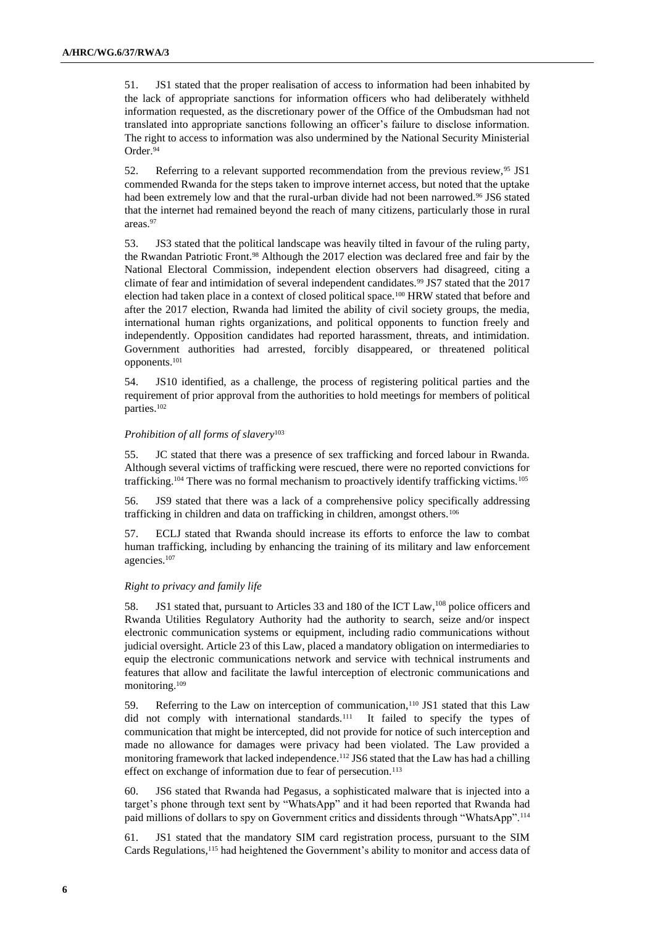51. JS1 stated that the proper realisation of access to information had been inhabited by the lack of appropriate sanctions for information officers who had deliberately withheld information requested, as the discretionary power of the Office of the Ombudsman had not translated into appropriate sanctions following an officer's failure to disclose information. The right to access to information was also undermined by the National Security Ministerial Order.<sup>94</sup>

52. Referring to a relevant supported recommendation from the previous review, <sup>95</sup> JS1 commended Rwanda for the steps taken to improve internet access, but noted that the uptake had been extremely low and that the rural-urban divide had not been narrowed.<sup>96</sup> JS6 stated that the internet had remained beyond the reach of many citizens, particularly those in rural areas.<sup>97</sup>

53. JS3 stated that the political landscape was heavily tilted in favour of the ruling party, the Rwandan Patriotic Front.<sup>98</sup> Although the 2017 election was declared free and fair by the National Electoral Commission, independent election observers had disagreed, citing a climate of fear and intimidation of several independent candidates.<sup>99</sup> JS7 stated that the 2017 election had taken place in a context of closed political space.<sup>100</sup> HRW stated that before and after the 2017 election, Rwanda had limited the ability of civil society groups, the media, international human rights organizations, and political opponents to function freely and independently. Opposition candidates had reported harassment, threats, and intimidation. Government authorities had arrested, forcibly disappeared, or threatened political opponents.<sup>101</sup>

54. JS10 identified, as a challenge, the process of registering political parties and the requirement of prior approval from the authorities to hold meetings for members of political parties.<sup>102</sup>

### *Prohibition of all forms of slavery*<sup>103</sup>

55. JC stated that there was a presence of sex trafficking and forced labour in Rwanda. Although several victims of trafficking were rescued, there were no reported convictions for trafficking.<sup>104</sup> There was no formal mechanism to proactively identify trafficking victims.<sup>105</sup>

56. JS9 stated that there was a lack of a comprehensive policy specifically addressing trafficking in children and data on trafficking in children, amongst others.<sup>106</sup>

57. ECLJ stated that Rwanda should increase its efforts to enforce the law to combat human trafficking, including by enhancing the training of its military and law enforcement agencies.<sup>107</sup>

### *Right to privacy and family life*

58. JS1 stated that, pursuant to Articles 33 and 180 of the ICT Law, <sup>108</sup> police officers and Rwanda Utilities Regulatory Authority had the authority to search, seize and/or inspect electronic communication systems or equipment, including radio communications without judicial oversight. Article 23 of this Law, placed a mandatory obligation on intermediaries to equip the electronic communications network and service with technical instruments and features that allow and facilitate the lawful interception of electronic communications and monitoring.<sup>109</sup>

59. Referring to the Law on interception of communication,<sup>110</sup> JS1 stated that this Law did not comply with international standards.<sup>111</sup> It failed to specify the types of communication that might be intercepted, did not provide for notice of such interception and made no allowance for damages were privacy had been violated. The Law provided a monitoring framework that lacked independence.<sup>112</sup> JS6 stated that the Law has had a chilling effect on exchange of information due to fear of persecution.<sup>113</sup>

60. JS6 stated that Rwanda had Pegasus, a sophisticated malware that is injected into a target's phone through text sent by "WhatsApp" and it had been reported that Rwanda had paid millions of dollars to spy on Government critics and dissidents through "WhatsApp".<sup>114</sup>

61. JS1 stated that the mandatory SIM card registration process, pursuant to the SIM Cards Regulations,<sup>115</sup> had heightened the Government's ability to monitor and access data of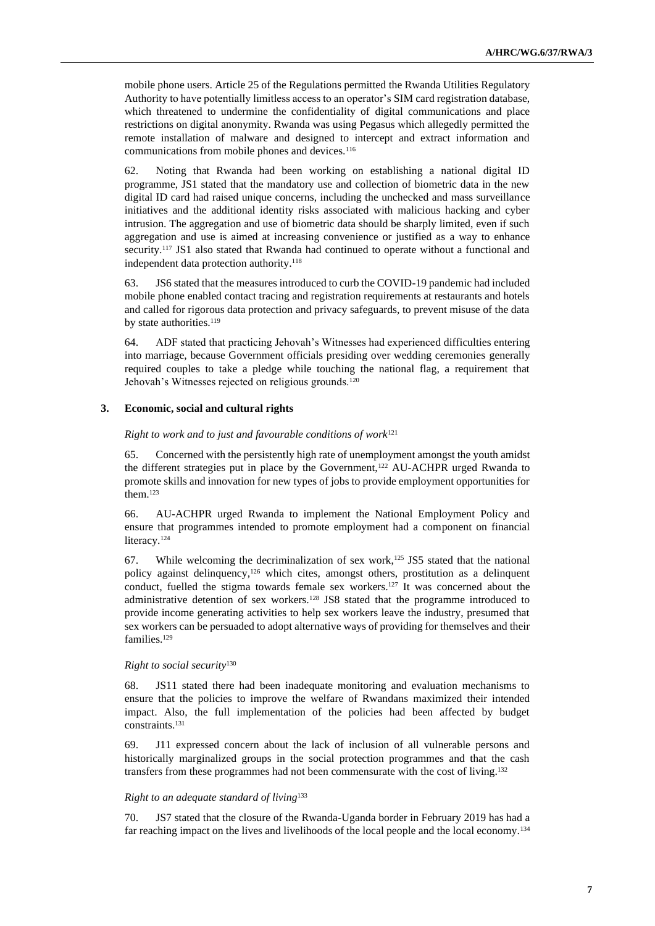mobile phone users. Article 25 of the Regulations permitted the Rwanda Utilities Regulatory Authority to have potentially limitless access to an operator's SIM card registration database, which threatened to undermine the confidentiality of digital communications and place restrictions on digital anonymity. Rwanda was using Pegasus which allegedly permitted the remote installation of malware and designed to intercept and extract information and communications from mobile phones and devices.<sup>116</sup>

62. Noting that Rwanda had been working on establishing a national digital ID programme, JS1 stated that the mandatory use and collection of biometric data in the new digital ID card had raised unique concerns, including the unchecked and mass surveillance initiatives and the additional identity risks associated with malicious hacking and cyber intrusion. The aggregation and use of biometric data should be sharply limited, even if such aggregation and use is aimed at increasing convenience or justified as a way to enhance security.<sup>117</sup> JS1 also stated that Rwanda had continued to operate without a functional and independent data protection authority.<sup>118</sup>

63. JS6 stated that the measures introduced to curb the COVID-19 pandemic had included mobile phone enabled contact tracing and registration requirements at restaurants and hotels and called for rigorous data protection and privacy safeguards, to prevent misuse of the data by state authorities.<sup>119</sup>

64. ADF stated that practicing Jehovah's Witnesses had experienced difficulties entering into marriage, because Government officials presiding over wedding ceremonies generally required couples to take a pledge while touching the national flag, a requirement that Jehovah's Witnesses rejected on religious grounds.<sup>120</sup>

## **3. Economic, social and cultural rights**

*Right to work and to just and favourable conditions of work*<sup>121</sup>

65. Concerned with the persistently high rate of unemployment amongst the youth amidst the different strategies put in place by the Government,<sup>122</sup> AU-ACHPR urged Rwanda to promote skills and innovation for new types of jobs to provide employment opportunities for them.<sup>123</sup>

66. AU-ACHPR urged Rwanda to implement the National Employment Policy and ensure that programmes intended to promote employment had a component on financial literacy.<sup>124</sup>

67. While welcoming the decriminalization of sex work,<sup>125</sup> JS5 stated that the national policy against delinquency,<sup>126</sup> which cites, amongst others, prostitution as a delinquent conduct, fuelled the stigma towards female sex workers.<sup>127</sup> It was concerned about the administrative detention of sex workers.<sup>128</sup> JS8 stated that the programme introduced to provide income generating activities to help sex workers leave the industry, presumed that sex workers can be persuaded to adopt alternative ways of providing for themselves and their families.<sup>129</sup>

#### *Right to social security*<sup>130</sup>

68. JS11 stated there had been inadequate monitoring and evaluation mechanisms to ensure that the policies to improve the welfare of Rwandans maximized their intended impact. Also, the full implementation of the policies had been affected by budget constraints. 131

69. J11 expressed concern about the lack of inclusion of all vulnerable persons and historically marginalized groups in the social protection programmes and that the cash transfers from these programmes had not been commensurate with the cost of living.<sup>132</sup>

#### *Right to an adequate standard of living*<sup>133</sup>

70. JS7 stated that the closure of the Rwanda-Uganda border in February 2019 has had a far reaching impact on the lives and livelihoods of the local people and the local economy.<sup>134</sup>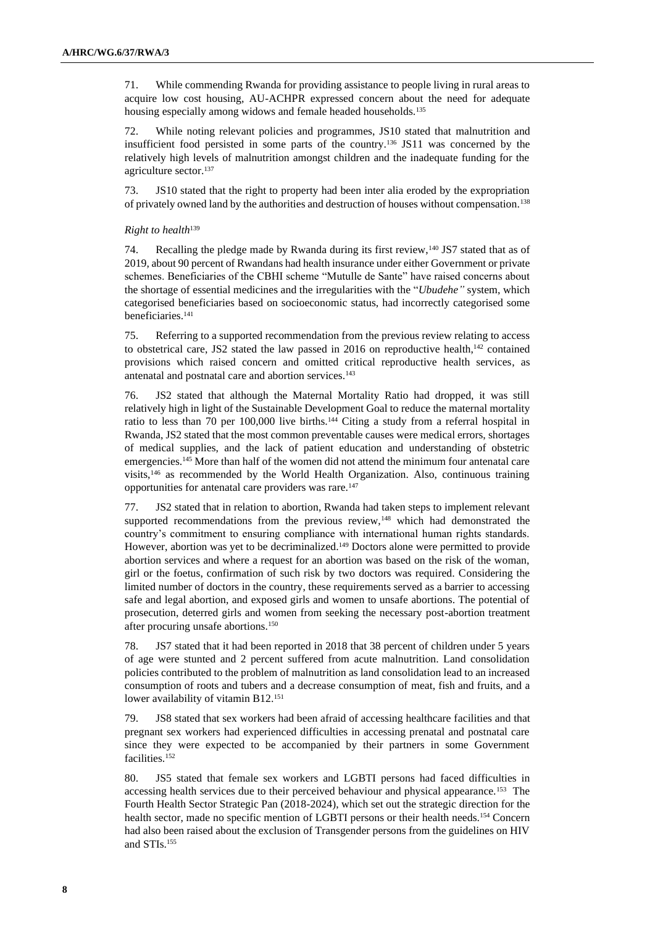71. While commending Rwanda for providing assistance to people living in rural areas to acquire low cost housing, AU-ACHPR expressed concern about the need for adequate housing especially among widows and female headed households.<sup>135</sup>

72. While noting relevant policies and programmes, JS10 stated that malnutrition and insufficient food persisted in some parts of the country.<sup>136</sup> JS11 was concerned by the relatively high levels of malnutrition amongst children and the inadequate funding for the agriculture sector.<sup>137</sup>

73. JS10 stated that the right to property had been inter alia eroded by the expropriation of privately owned land by the authorities and destruction of houses without compensation.<sup>138</sup>

## *Right to health*<sup>139</sup>

74. Recalling the pledge made by Rwanda during its first review,<sup>140</sup> JS7 stated that as of 2019, about 90 percent of Rwandans had health insurance under either Government or private schemes. Beneficiaries of the CBHI scheme "Mutulle de Sante" have raised concerns about the shortage of essential medicines and the irregularities with the "*Ubudehe"* system, which categorised beneficiaries based on socioeconomic status, had incorrectly categorised some beneficiaries.<sup>141</sup>

75. Referring to a supported recommendation from the previous review relating to access to obstetrical care, JS2 stated the law passed in 2016 on reproductive health,<sup>142</sup> contained provisions which raised concern and omitted critical reproductive health services, as antenatal and postnatal care and abortion services.<sup>143</sup>

76. JS2 stated that although the Maternal Mortality Ratio had dropped, it was still relatively high in light of the Sustainable Development Goal to reduce the maternal mortality ratio to less than 70 per 100,000 live births.<sup>144</sup> Citing a study from a referral hospital in Rwanda, JS2 stated that the most common preventable causes were medical errors, shortages of medical supplies, and the lack of patient education and understanding of obstetric emergencies.<sup>145</sup> More than half of the women did not attend the minimum four antenatal care visits,<sup>146</sup> as recommended by the World Health Organization. Also, continuous training opportunities for antenatal care providers was rare.<sup>147</sup>

77. JS2 stated that in relation to abortion, Rwanda had taken steps to implement relevant supported recommendations from the previous review,<sup>148</sup> which had demonstrated the country's commitment to ensuring compliance with international human rights standards. However, abortion was yet to be decriminalized.<sup>149</sup> Doctors alone were permitted to provide abortion services and where a request for an abortion was based on the risk of the woman, girl or the foetus, confirmation of such risk by two doctors was required. Considering the limited number of doctors in the country, these requirements served as a barrier to accessing safe and legal abortion, and exposed girls and women to unsafe abortions. The potential of prosecution, deterred girls and women from seeking the necessary post-abortion treatment after procuring unsafe abortions.<sup>150</sup>

78. JS7 stated that it had been reported in 2018 that 38 percent of children under 5 years of age were stunted and 2 percent suffered from acute malnutrition. Land consolidation policies contributed to the problem of malnutrition as land consolidation lead to an increased consumption of roots and tubers and a decrease consumption of meat, fish and fruits, and a lower availability of vitamin B12.<sup>151</sup>

79. JS8 stated that sex workers had been afraid of accessing healthcare facilities and that pregnant sex workers had experienced difficulties in accessing prenatal and postnatal care since they were expected to be accompanied by their partners in some Government facilities.<sup>152</sup>

80. JS5 stated that female sex workers and LGBTI persons had faced difficulties in accessing health services due to their perceived behaviour and physical appearance.<sup>153</sup> The Fourth Health Sector Strategic Pan (2018-2024), which set out the strategic direction for the health sector, made no specific mention of LGBTI persons or their health needs.<sup>154</sup> Concern had also been raised about the exclusion of Transgender persons from the guidelines on HIV and STIs.155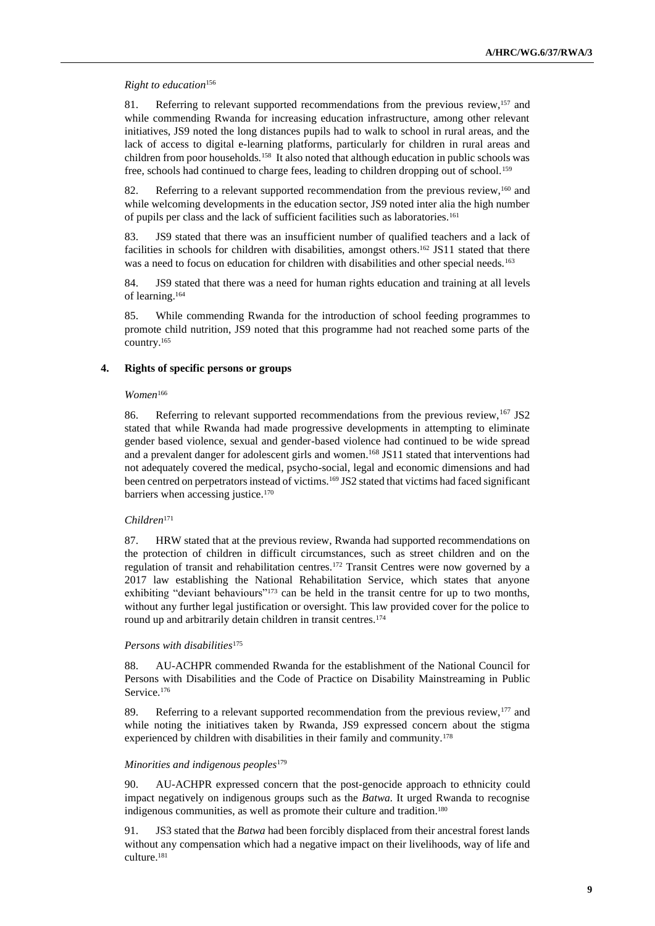#### *Right to education*<sup>156</sup>

81. Referring to relevant supported recommendations from the previous review,<sup>157</sup> and while commending Rwanda for increasing education infrastructure, among other relevant initiatives, JS9 noted the long distances pupils had to walk to school in rural areas, and the lack of access to digital e-learning platforms, particularly for children in rural areas and children from poor households.<sup>158</sup> It also noted that although education in public schools was free, schools had continued to charge fees, leading to children dropping out of school.<sup>159</sup>

82. Referring to a relevant supported recommendation from the previous review,<sup>160</sup> and while welcoming developments in the education sector, JS9 noted inter alia the high number of pupils per class and the lack of sufficient facilities such as laboratories.<sup>161</sup>

83. JS9 stated that there was an insufficient number of qualified teachers and a lack of facilities in schools for children with disabilities, amongst others.<sup>162</sup> JS11 stated that there was a need to focus on education for children with disabilities and other special needs.<sup>163</sup>

84. JS9 stated that there was a need for human rights education and training at all levels of learning.<sup>164</sup>

85. While commending Rwanda for the introduction of school feeding programmes to promote child nutrition, JS9 noted that this programme had not reached some parts of the country.<sup>165</sup>

## **4. Rights of specific persons or groups**

#### *Women*<sup>166</sup>

86. Referring to relevant supported recommendations from the previous review, <sup>167</sup> JS2 stated that while Rwanda had made progressive developments in attempting to eliminate gender based violence, sexual and gender-based violence had continued to be wide spread and a prevalent danger for adolescent girls and women.<sup>168</sup> JS11 stated that interventions had not adequately covered the medical, psycho-social, legal and economic dimensions and had been centred on perpetrators instead of victims.<sup>169</sup> JS2 stated that victims had faced significant barriers when accessing justice.<sup>170</sup>

#### *Children*<sup>171</sup>

87. HRW stated that at the previous review, Rwanda had supported recommendations on the protection of children in difficult circumstances, such as street children and on the regulation of transit and rehabilitation centres.<sup>172</sup> Transit Centres were now governed by a 2017 law establishing the National Rehabilitation Service, which states that anyone exhibiting "deviant behaviours"<sup>173</sup> can be held in the transit centre for up to two months, without any further legal justification or oversight. This law provided cover for the police to round up and arbitrarily detain children in transit centres.<sup>174</sup>

#### *Persons with disabilities*<sup>175</sup>

88. AU-ACHPR commended Rwanda for the establishment of the National Council for Persons with Disabilities and the Code of Practice on Disability Mainstreaming in Public Service.<sup>176</sup>

89. Referring to a relevant supported recommendation from the previous review, $177$  and while noting the initiatives taken by Rwanda, JS9 expressed concern about the stigma experienced by children with disabilities in their family and community.<sup>178</sup>

#### *Minorities and indigenous peoples*<sup>179</sup>

90. AU-ACHPR expressed concern that the post-genocide approach to ethnicity could impact negatively on indigenous groups such as the *Batwa.* It urged Rwanda to recognise indigenous communities, as well as promote their culture and tradition.<sup>180</sup>

91. JS3 stated that the *Batwa* had been forcibly displaced from their ancestral forest lands without any compensation which had a negative impact on their livelihoods, way of life and culture.181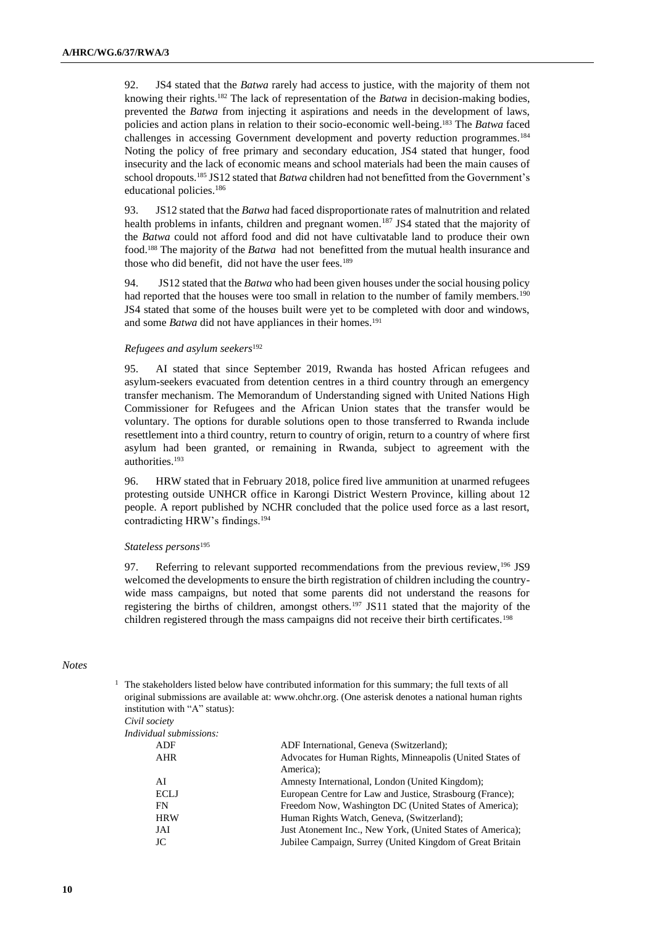92. JS4 stated that the *Batwa* rarely had access to justice, with the majority of them not knowing their rights.<sup>182</sup> The lack of representation of the *Batwa* in decision-making bodies, prevented the *Batwa* from injecting it aspirations and needs in the development of laws, policies and action plans in relation to their socio-economic well-being. <sup>183</sup> The *Batwa* faced challenges in accessing Government development and poverty reduction programmes.<sup>184</sup> Noting the policy of free primary and secondary education, JS4 stated that hunger, food insecurity and the lack of economic means and school materials had been the main causes of school dropouts.<sup>185</sup> JS12 stated that *Batwa* children had not benefitted from the Government's educational policies.<sup>186</sup>

93. JS12 stated that the *Batwa* had faced disproportionate rates of malnutrition and related health problems in infants, children and pregnant women.<sup>187</sup> JS4 stated that the majority of the *Batwa* could not afford food and did not have cultivatable land to produce their own food.<sup>188</sup> The majority of the *Batwa* had not benefitted from the mutual health insurance and those who did benefit, did not have the user fees.<sup>189</sup>

94. JS12 stated that the *Batwa* who had been given houses under the social housing policy had reported that the houses were too small in relation to the number of family members.<sup>190</sup> JS4 stated that some of the houses built were yet to be completed with door and windows, and some *Batwa* did not have appliances in their homes.<sup>191</sup>

### *Refugees and asylum seekers*<sup>192</sup>

95. AI stated that since September 2019, Rwanda has hosted African refugees and asylum-seekers evacuated from detention centres in a third country through an emergency transfer mechanism. The Memorandum of Understanding signed with United Nations High Commissioner for Refugees and the African Union states that the transfer would be voluntary. The options for durable solutions open to those transferred to Rwanda include resettlement into a third country, return to country of origin, return to a country of where first asylum had been granted, or remaining in Rwanda, subject to agreement with the authorities.<sup>193</sup>

96. HRW stated that in February 2018, police fired live ammunition at unarmed refugees protesting outside UNHCR office in Karongi District Western Province, killing about 12 people. A report published by NCHR concluded that the police used force as a last resort, contradicting HRW's findings.<sup>194</sup>

#### *Stateless persons*<sup>195</sup>

97. Referring to relevant supported recommendations from the previous review,<sup>196</sup> JS9 welcomed the developments to ensure the birth registration of children including the countrywide mass campaigns, but noted that some parents did not understand the reasons for registering the births of children, amongst others.<sup>197</sup> JS11 stated that the majority of the children registered through the mass campaigns did not receive their birth certificates.<sup>198</sup>

#### *Notes*

|  |                                | <sup>1</sup> The stakeholders listed below have contributed information for this summary; the full texts of all<br>original submissions are available at: www.ohchr.org. (One asterisk denotes a national human rights |
|--|--------------------------------|------------------------------------------------------------------------------------------------------------------------------------------------------------------------------------------------------------------------|
|  | institution with "A" status):  |                                                                                                                                                                                                                        |
|  | Civil society                  |                                                                                                                                                                                                                        |
|  | <i>Individual submissions:</i> |                                                                                                                                                                                                                        |
|  | ADF                            | ADF International, Geneva (Switzerland);                                                                                                                                                                               |
|  | AHR                            | Advocates for Human Rights, Minneapolis (United States of                                                                                                                                                              |
|  |                                | America);                                                                                                                                                                                                              |
|  | AI                             | Amnesty International, London (United Kingdom);                                                                                                                                                                        |
|  | <b>ECLJ</b>                    | European Centre for Law and Justice, Strasbourg (France);                                                                                                                                                              |
|  | FN                             | Freedom Now, Washington DC (United States of America);                                                                                                                                                                 |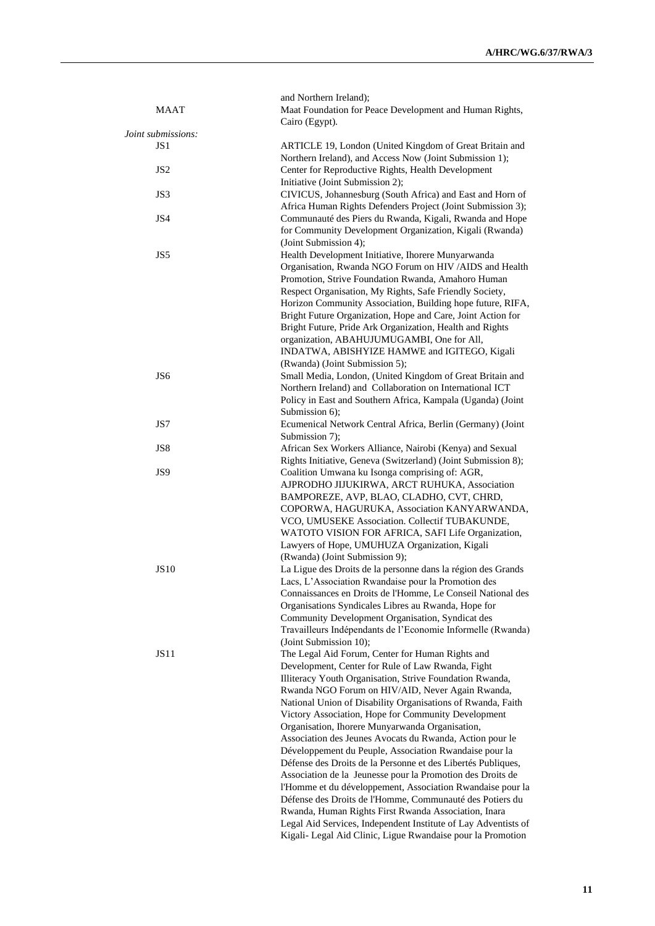| <b>MAAT</b>        | and Northern Ireland);<br>Maat Foundation for Peace Development and Human Rights,<br>Cairo (Egypt).                                                                                                                                                                                                                                                                                                                                                                                                                                                                                                                                                                                                                                                                                                                                                                                                    |
|--------------------|--------------------------------------------------------------------------------------------------------------------------------------------------------------------------------------------------------------------------------------------------------------------------------------------------------------------------------------------------------------------------------------------------------------------------------------------------------------------------------------------------------------------------------------------------------------------------------------------------------------------------------------------------------------------------------------------------------------------------------------------------------------------------------------------------------------------------------------------------------------------------------------------------------|
| Joint submissions: |                                                                                                                                                                                                                                                                                                                                                                                                                                                                                                                                                                                                                                                                                                                                                                                                                                                                                                        |
| JS <sub>1</sub>    | ARTICLE 19, London (United Kingdom of Great Britain and<br>Northern Ireland), and Access Now (Joint Submission 1);                                                                                                                                                                                                                                                                                                                                                                                                                                                                                                                                                                                                                                                                                                                                                                                     |
| JS <sub>2</sub>    | Center for Reproductive Rights, Health Development<br>Initiative (Joint Submission 2);                                                                                                                                                                                                                                                                                                                                                                                                                                                                                                                                                                                                                                                                                                                                                                                                                 |
| JS3                | CIVICUS, Johannesburg (South Africa) and East and Horn of<br>Africa Human Rights Defenders Project (Joint Submission 3);                                                                                                                                                                                                                                                                                                                                                                                                                                                                                                                                                                                                                                                                                                                                                                               |
| JS4                | Communauté des Piers du Rwanda, Kigali, Rwanda and Hope<br>for Community Development Organization, Kigali (Rwanda)<br>(Joint Submission 4);                                                                                                                                                                                                                                                                                                                                                                                                                                                                                                                                                                                                                                                                                                                                                            |
| JS5                | Health Development Initiative, Ihorere Munyarwanda<br>Organisation, Rwanda NGO Forum on HIV /AIDS and Health<br>Promotion, Strive Foundation Rwanda, Amahoro Human<br>Respect Organisation, My Rights, Safe Friendly Society,<br>Horizon Community Association, Building hope future, RIFA,<br>Bright Future Organization, Hope and Care, Joint Action for<br>Bright Future, Pride Ark Organization, Health and Rights                                                                                                                                                                                                                                                                                                                                                                                                                                                                                 |
|                    | organization, ABAHUJUMUGAMBI, One for All,<br>INDATWA, ABISHYIZE HAMWE and IGITEGO, Kigali                                                                                                                                                                                                                                                                                                                                                                                                                                                                                                                                                                                                                                                                                                                                                                                                             |
| JS <sub>6</sub>    | (Rwanda) (Joint Submission 5);<br>Small Media, London, (United Kingdom of Great Britain and<br>Northern Ireland) and Collaboration on International ICT<br>Policy in East and Southern Africa, Kampala (Uganda) (Joint<br>Submission 6);                                                                                                                                                                                                                                                                                                                                                                                                                                                                                                                                                                                                                                                               |
| JS7                | Ecumenical Network Central Africa, Berlin (Germany) (Joint<br>Submission 7);                                                                                                                                                                                                                                                                                                                                                                                                                                                                                                                                                                                                                                                                                                                                                                                                                           |
| JS8                | African Sex Workers Alliance, Nairobi (Kenya) and Sexual<br>Rights Initiative, Geneva (Switzerland) (Joint Submission 8);                                                                                                                                                                                                                                                                                                                                                                                                                                                                                                                                                                                                                                                                                                                                                                              |
| JS9                | Coalition Umwana ku Isonga comprising of: AGR,<br>AJPRODHO JIJUKIRWA, ARCT RUHUKA, Association<br>BAMPOREZE, AVP, BLAO, CLADHO, CVT, CHRD,<br>COPORWA, HAGURUKA, Association KANYARWANDA,<br>VCO, UMUSEKE Association. Collectif TUBAKUNDE,<br>WATOTO VISION FOR AFRICA, SAFI Life Organization,<br>Lawyers of Hope, UMUHUZA Organization, Kigali<br>(Rwanda) (Joint Submission 9);                                                                                                                                                                                                                                                                                                                                                                                                                                                                                                                    |
| <b>JS10</b>        | La Ligue des Droits de la personne dans la région des Grands<br>Lacs, L'Association Rwandaise pour la Promotion des<br>Connaissances en Droits de l'Homme, Le Conseil National des<br>Organisations Syndicales Libres au Rwanda, Hope for<br>Community Development Organisation, Syndicat des<br>Travailleurs Indépendants de l'Economie Informelle (Rwanda)<br>(Joint Submission 10);                                                                                                                                                                                                                                                                                                                                                                                                                                                                                                                 |
| <b>JS11</b>        | The Legal Aid Forum, Center for Human Rights and<br>Development, Center for Rule of Law Rwanda, Fight<br>Illiteracy Youth Organisation, Strive Foundation Rwanda,<br>Rwanda NGO Forum on HIV/AID, Never Again Rwanda,<br>National Union of Disability Organisations of Rwanda, Faith<br>Victory Association, Hope for Community Development<br>Organisation, Ihorere Munyarwanda Organisation,<br>Association des Jeunes Avocats du Rwanda, Action pour le<br>Développement du Peuple, Association Rwandaise pour la<br>Défense des Droits de la Personne et des Libertés Publiques,<br>Association de la Jeunesse pour la Promotion des Droits de<br>l'Homme et du développement, Association Rwandaise pour la<br>Défense des Droits de l'Homme, Communauté des Potiers du<br>Rwanda, Human Rights First Rwanda Association, Inara<br>Legal Aid Services, Independent Institute of Lay Adventists of |
|                    | Kigali- Legal Aid Clinic, Ligue Rwandaise pour la Promotion                                                                                                                                                                                                                                                                                                                                                                                                                                                                                                                                                                                                                                                                                                                                                                                                                                            |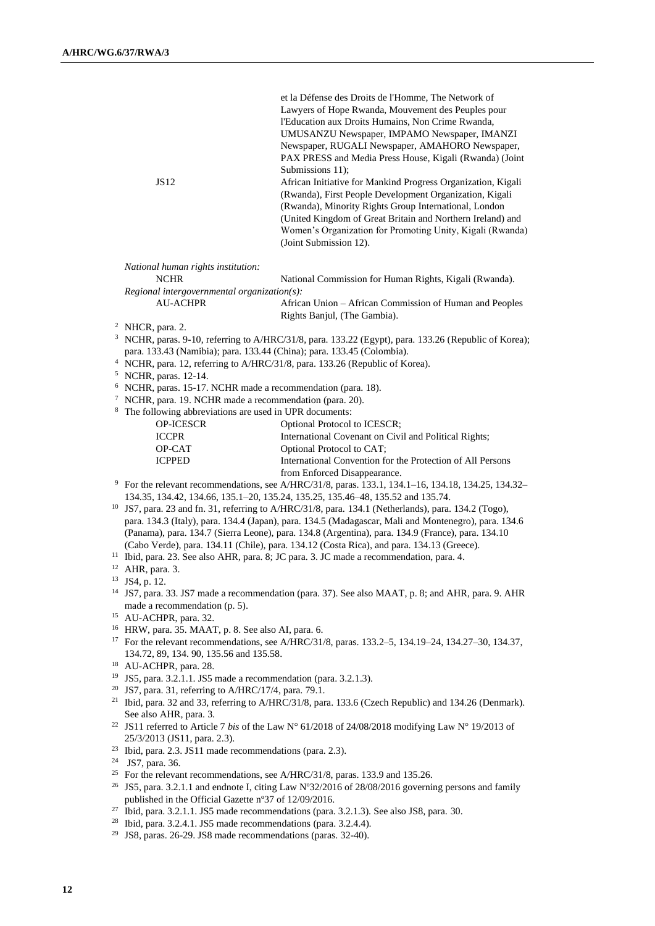|                  | et la Défense des Droits de l'Homme, The Network of          |
|------------------|--------------------------------------------------------------|
|                  | Lawyers of Hope Rwanda, Mouvement des Peuples pour           |
|                  | l'Education aux Droits Humains, Non Crime Rwanda,            |
|                  | UMUSANZU Newspaper, IMPAMO Newspaper, IMANZI                 |
|                  | Newspaper, RUGALI Newspaper, AMAHORO Newspaper,              |
|                  | PAX PRESS and Media Press House, Kigali (Rwanda) (Joint      |
|                  | Submissions 11);                                             |
| JS <sub>12</sub> | African Initiative for Mankind Progress Organization, Kigali |
|                  | (Rwanda), First People Development Organization, Kigali      |
|                  | (Rwanda), Minority Rights Group International, London        |
|                  | (United Kingdom of Great Britain and Northern Ireland) and   |
|                  | Women's Organization for Promoting Unity, Kigali (Rwanda)    |
|                  | (Joint Submission 12).                                       |
|                  |                                                              |

*National human rights institution:*

| <b>NCHR</b>                                   | National Commission for Human Rights, Kigali (Rwanda).  |  |  |  |
|-----------------------------------------------|---------------------------------------------------------|--|--|--|
| $Recional$ intergovernmental organization(s): |                                                         |  |  |  |
| <b>AU-ACHPR</b>                               | African Union – African Commission of Human and Peoples |  |  |  |

<sup>3</sup> NCHR, paras. 9-10, referring to A/HRC/31/8, para. 133.22 (Egypt), para. 133.26 (Republic of Korea); para. 133.43 (Namibia); para. 133.44 (China); para. 133.45 (Colombia).

Rights Banjul, (The Gambia).

- <sup>4</sup> NCHR, para. 12, referring to A/HRC/31/8, para. 133.26 (Republic of Korea).
- <sup>5</sup> NCHR, paras. 12-14.
- <sup>6</sup> NCHR, paras. 15-17. NCHR made a recommendation (para. 18).
- <sup>7</sup> NCHR, para. 19. NCHR made a recommendation (para. 20).
- <sup>8</sup> The following abbreviations are used in UPR documents:

| <b>OP-ICESCR</b> | Optional Protocol to ICESCR;                               |
|------------------|------------------------------------------------------------|
| <b>ICCPR</b>     | International Covenant on Civil and Political Rights:      |
| OP-CAT           | Optional Protocol to CAT;                                  |
| <b>ICPPED</b>    | International Convention for the Protection of All Persons |
|                  | from Enforced Disappearance.                               |
|                  |                                                            |

- <sup>9</sup> For the relevant recommendations, see A/HRC/31/8, paras. 133.1, 134.1–16, 134.18, 134.25, 134.32– 134.35, 134.42, 134.66, 135.1–20, 135.24, 135.25, 135.46–48, 135.52 and 135.74.
- <sup>10</sup> JS7, para. 23 and fn. 31, referring to A/HRC/31/8, para. 134.1 (Netherlands), para. 134.2 (Togo), para. 134.3 (Italy), para. 134.4 (Japan), para. 134.5 (Madagascar, Mali and Montenegro), para. 134.6 (Panama), para. 134.7 (Sierra Leone), para. 134.8 (Argentina), para. 134.9 (France), para. 134.10 (Cabo Verde), para. 134.11 (Chile), para. 134.12 (Costa Rica), and para. 134.13 (Greece).
- <sup>11</sup> Ibid, para. 23. See also AHR, para. 8; JC para. 3. JC made a recommendation, para. 4.
- <sup>12</sup> AHR, para. 3.
- <sup>13</sup> JS4, p. 12.
- <sup>14</sup> JS7, para. 33. JS7 made a recommendation (para. 37). See also MAAT, p. 8; and AHR, para. 9. AHR made a recommendation (p. 5).
- <sup>15</sup> AU-ACHPR, para. 32.
- <sup>16</sup> HRW, para. 35. MAAT, p. 8. See also AI, para. 6.
- <sup>17</sup> For the relevant recommendations, see A/HRC/31/8, paras. 133.2–5, 134.19–24, 134.27–30, 134.37, 134.72, 89, 134. 90, 135.56 and 135.58.
- <sup>18</sup> AU-ACHPR, para. 28.
- <sup>19</sup> JS5, para. 3.2.1.1. JS5 made a recommendation (para. 3.2.1.3).
- <sup>20</sup> JS7, para. 31, referring to A/HRC/17/4, para. 79.1.
- <sup>21</sup> Ibid, para. 32 and 33, referring to A/HRC/31/8, para. 133.6 (Czech Republic) and 134.26 (Denmark). See also AHR, para. 3.
- <sup>22</sup> JS11 referred to Article 7 *bis* of the Law N° 61/2018 of 24/08/2018 modifying Law N° 19/2013 of 25/3/2013 (JS11, para. 2.3).
- <sup>23</sup> Ibid, para. 2.3. JS11 made recommendations (para. 2.3).
- <sup>24</sup> JS7, para. 36.
- <sup>25</sup> For the relevant recommendations, see A/HRC/31/8, paras. 133.9 and 135.26.
- <sup>26</sup> JS5, para. 3.2.1.1 and endnote I, citing Law N°32/2016 of 28/08/2016 governing persons and family published in the Official Gazette nº37 of 12/09/2016.
- <sup>27</sup> Ibid, para. 3.2.1.1. JS5 made recommendations (para. 3.2.1.3). See also JS8, para. 30.
- <sup>28</sup> Ibid, para. 3.2.4.1. JS5 made recommendations (para. 3.2.4.4).<br><sup>29</sup> IS8 paras. 26.29 IS8 made recommendations (paras. 32.40).
- JS8, paras. 26-29. JS8 made recommendations (paras. 32-40).

<sup>2</sup> NHCR, para. 2.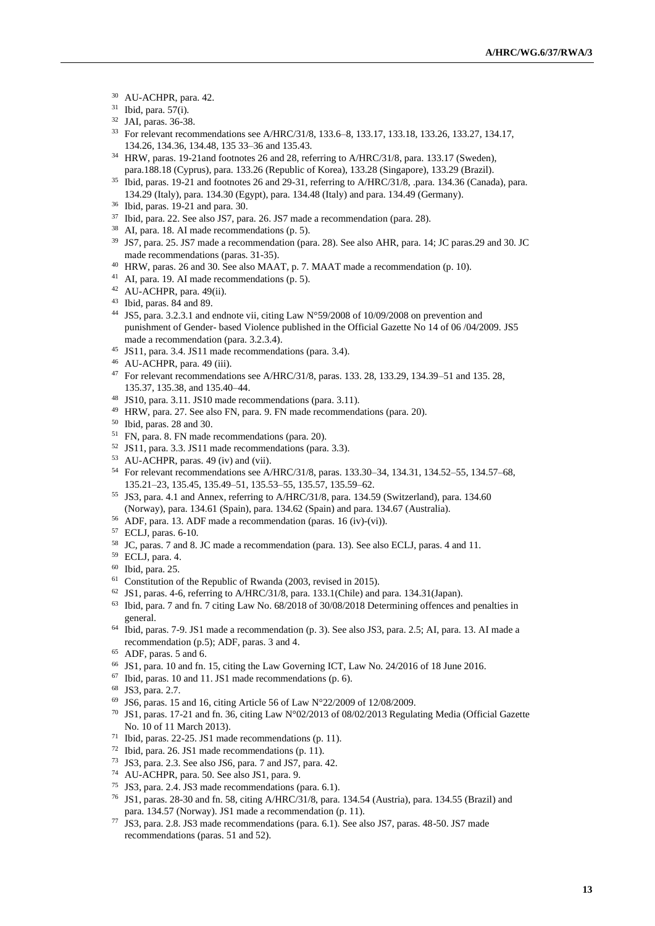- AU-ACHPR, para. 42.
- Ibid, para. 57(i).
- JAI, paras. 36-38.
- For relevant recommendations see A/HRC/31/8, 133.6–8, 133.17, 133.18, 133.26, 133.27, 134.17, 134.26, 134.36, 134.48, 135 33–36 and 135.43.
- HRW, paras. 19-21and footnotes 26 and 28, referring to A/HRC/31/8, para. 133.17 (Sweden), para.188.18 (Cyprus), para. 133.26 (Republic of Korea), 133.28 (Singapore), 133.29 (Brazil).
- <sup>35</sup> Ibid, paras. 19-21 and footnotes 26 and 29-31, referring to A/HRC/31/8, .para. 134.36 (Canada), para. 134.29 (Italy), para. 134.30 (Egypt), para. 134.48 (Italy) and para. 134.49 (Germany).
- Ibid, paras. 19-21 and para. 30.
- Ibid, para. 22. See also JS7, para. 26. JS7 made a recommendation (para. 28).
- AI, para. 18. AI made recommendations (p. 5).
- JS7, para. 25. JS7 made a recommendation (para. 28). See also AHR, para. 14; JC paras.29 and 30. JC made recommendations (paras. 31-35).
- HRW, paras. 26 and 30. See also MAAT, p. 7. MAAT made a recommendation (p. 10).
- AI, para. 19. AI made recommendations (p. 5).
- AU-ACHPR, para. 49(ii).
- Ibid, paras. 84 and 89.
- JS5, para. 3.2.3.1 and endnote vii, citing Law N°59/2008 of 10/09/2008 on prevention and punishment of Gender- based Violence published in the Official Gazette No 14 of 06 /04/2009. JS5 made a recommendation (para. 3.2.3.4).
- JS11, para. 3.4. JS11 made recommendations (para. 3.4).
- AU-ACHPR, para. 49 (iii).
- For relevant recommendations see A/HRC/31/8, paras. 133. 28, 133.29, 134.39–51 and 135. 28, 135.37, 135.38, and 135.40–44.
- JS10, para. 3.11. JS10 made recommendations (para. 3.11).
- HRW, para. 27. See also FN, para. 9. FN made recommendations (para. 20).
- Ibid, paras. 28 and 30.
- FN, para. 8. FN made recommendations (para. 20).
- JS11, para. 3.3. JS11 made recommendations (para. 3.3).
- AU-ACHPR, paras. 49 (iv) and (vii).
- For relevant recommendations see A/HRC/31/8, paras. 133.30–34, 134.31, 134.52–55, 134.57–68, 135.21–23, 135.45, 135.49–51, 135.53–55, 135.57, 135.59–62.
- JS3, para. 4.1 and Annex, referring to A/HRC/31/8, para. 134.59 (Switzerland), para. 134.60 (Norway), para. 134.61 (Spain), para. 134.62 (Spain) and para. 134.67 (Australia).
- ADF, para. 13. ADF made a recommendation (paras. 16 (iv)-(vi)).
- ECLJ, paras. 6-10.
- JC, paras. 7 and 8. JC made a recommendation (para. 13). See also ECLJ, paras. 4 and 11.
- ECLJ, para. 4.
- Ibid, para. 25.
- Constitution of the Republic of Rwanda (2003, revised in 2015).
- JS1, paras. 4-6, referring to A/HRC/31/8, para. 133.1(Chile) and para. 134.31(Japan).
- Ibid, para. 7 and fn. 7 citing Law No. 68/2018 of 30/08/2018 Determining offences and penalties in general.
- Ibid, paras. 7-9. JS1 made a recommendation (p. 3). See also JS3, para. 2.5; AI, para. 13. AI made a recommendation (p.5); ADF, paras. 3 and 4.
- ADF, paras. 5 and 6.
- JS1, para. 10 and fn. 15, citing the Law Governing ICT, Law No. 24/2016 of 18 June 2016.
- Ibid, paras. 10 and 11. JS1 made recommendations (p. 6).
- JS3, para. 2.7.
- JS6, paras. 15 and 16, citing Article 56 of Law N°22/2009 of 12/08/2009.
- JS1, paras. 17-21 and fn. 36, citing Law N°02/2013 of 08/02/2013 Regulating Media (Official Gazette No. 10 of 11 March 2013).
- Ibid, paras. 22-25. JS1 made recommendations (p. 11).
- Ibid, para. 26. JS1 made recommendations (p. 11).
- JS3, para. 2.3. See also JS6, para. 7 and JS7, para. 42.
- AU-ACHPR, para. 50. See also JS1, para. 9.
- JS3, para. 2.4. JS3 made recommendations (para. 6.1).
- JS1, paras. 28-30 and fn. 58, citing A/HRC/31/8, para. 134.54 (Austria), para. 134.55 (Brazil) and para. 134.57 (Norway). JS1 made a recommendation (p. 11).
- JS3, para. 2.8. JS3 made recommendations (para. 6.1). See also JS7, paras. 48-50. JS7 made recommendations (paras. 51 and 52).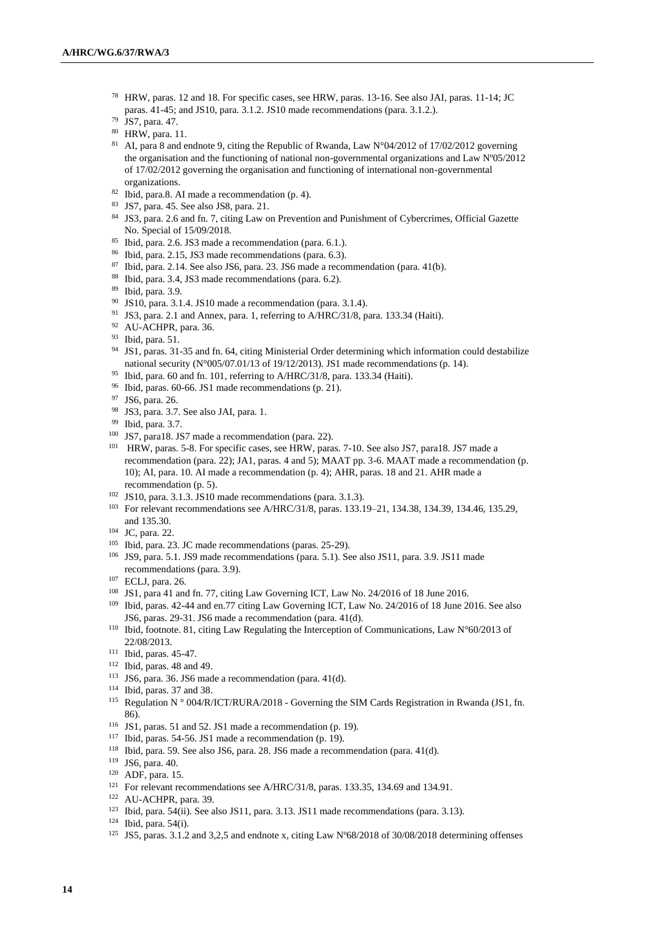- HRW, paras. 12 and 18. For specific cases, see HRW, paras. 13-16. See also JAI, paras. 11-14; JC paras. 41-45; and JS10, para. 3.1.2. JS10 made recommendations (para. 3.1.2.).
- JS7, para. 47.
- HRW, para. 11.
- 81 AI, para 8 and endnote 9, citing the Republic of Rwanda, Law N°04/2012 of 17/02/2012 governing the organisation and the functioning of national non-governmental organizations and Law Nº05/2012 of 17/02/2012 governing the organisation and functioning of international non-governmental organizations.
- Ibid, para.8. AI made a recommendation (p. 4).
- JS7, para. 45. See also JS8, para. 21.
- 84 JS3, para. 2.6 and fn. 7, citing Law on Prevention and Punishment of Cybercrimes, Official Gazette No. Special of 15/09/2018.
- Ibid, para. 2.6. JS3 made a recommendation (para. 6.1.).
- Ibid, para. 2.15, JS3 made recommendations (para. 6.3).
- Ibid, para. 2.14. See also JS6, para. 23. JS6 made a recommendation (para. 41(b).
- Ibid, para. 3.4, JS3 made recommendations (para. 6.2).
- Ibid, para. 3.9.
- JS10, para. 3.1.4. JS10 made a recommendation (para. 3.1.4).
- <sup>91</sup> JS3, para. 2.1 and Annex, para. 1, referring to A/HRC/31/8, para. 133.34 (Haiti).
- AU-ACHPR, para. 36.
- Ibid, para. 51.
- JS1, paras. 31-35 and fn. 64, citing Ministerial Order determining which information could destabilize national security ( $N^{\circ}005/07.01/13$  of 19/12/2013). JS1 made recommendations (p. 14).
- Ibid, para. 60 and fn. 101, referring to A/HRC/31/8, para. 133.34 (Haiti).
- Ibid, paras. 60-66. JS1 made recommendations (p. 21).
- JS6, para. 26.
- JS3, para. 3.7. See also JAI, para. 1.
- Ibid, para. 3.7.
- JS7, para18. JS7 made a recommendation (para. 22).
- HRW, paras. 5-8. For specific cases, see HRW, paras. 7-10. See also JS7, para18. JS7 made a recommendation (para. 22); JA1, paras. 4 and 5); MAAT pp. 3-6. MAAT made a recommendation (p. 10); AI, para. 10. AI made a recommendation (p. 4); AHR, paras. 18 and 21. AHR made a recommendation (p. 5).
- JS10, para. 3.1.3. JS10 made recommendations (para. 3.1.3).
- For relevant recommendations see A/HRC/31/8, paras. 133.19–21, 134.38, 134.39, 134.46, 135.29, and 135.30.
- JC, para. 22.
- Ibid, para. 23. JC made recommendations (paras. 25-29).
- JS9, para. 5.1. JS9 made recommendations (para. 5.1). See also JS11, para. 3.9. JS11 made recommendations (para. 3.9).
- ECLJ, para. 26.
- JS1, para 41 and fn. 77, citing Law Governing ICT, Law No. 24/2016 of 18 June 2016.
- Ibid, paras. 42-44 and en.77 citing Law Governing ICT, Law No. 24/2016 of 18 June 2016. See also JS6, paras. 29-31. JS6 made a recommendation (para. 41(d).
- Ibid, footnote. 81, citing Law Regulating the Interception of Communications, Law N°60/2013 of 22/08/2013.
- Ibid, paras. 45-47.
- Ibid, paras. 48 and 49.
- JS6, para. 36. JS6 made a recommendation (para. 41(d).
- Ibid, paras. 37 and 38.
- <sup>115</sup> Regulation N ° 004/R/ICT/RURA/2018 Governing the SIM Cards Registration in Rwanda (JS1, fn. 86).
- <sup>116</sup> JS1, paras. 51 and 52. JS1 made a recommendation (p. 19).
- Ibid, paras. 54-56. JS1 made a recommendation (p. 19).
- Ibid, para. 59. See also JS6, para. 28. JS6 made a recommendation (para. 41(d).
- JS6, para. 40.
- ADF, para. 15.
- For relevant recommendations see A/HRC/31/8, paras. 133.35, 134.69 and 134.91.
- AU-ACHPR, para. 39.
- Ibid, para. 54(ii). See also JS11, para. 3.13. JS11 made recommendations (para. 3.13).
- Ibid, para. 54(i).
- JS5, paras. 3.1.2 and 3,2,5 and endnote x, citing Law Nº68/2018 of 30/08/2018 determining offenses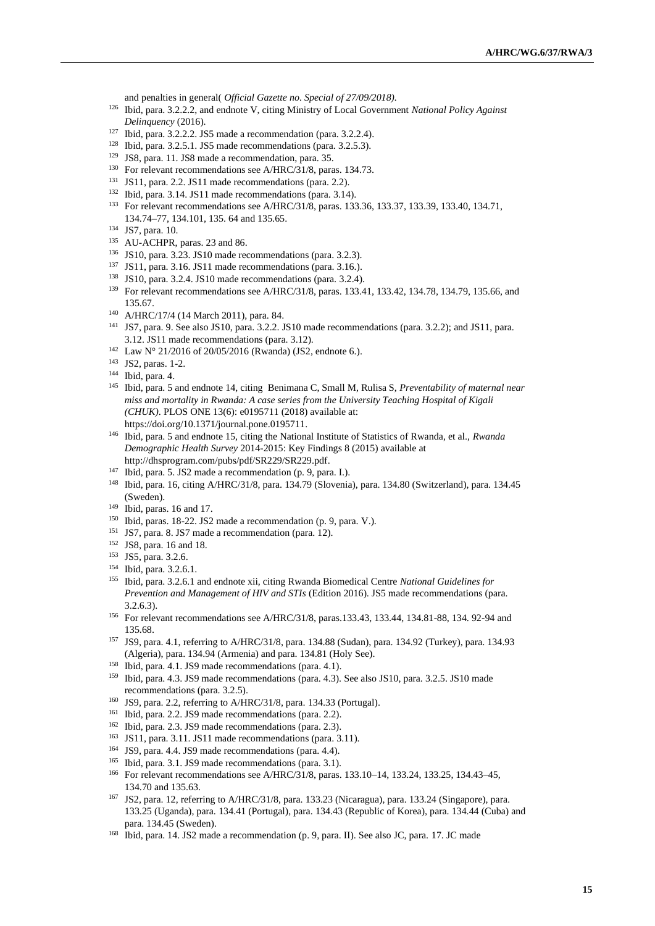and penalties in general( *Official Gazette no. Special of 27/09/2018).*

- Ibid, para. 3.2.2.2, and endnote V, citing Ministry of Local Government *National Policy Against Delinquency* (2016).
- Ibid, para. 3.2.2.2. JS5 made a recommendation (para. 3.2.2.4).
- Ibid, para. 3.2.5.1. JS5 made recommendations (para. 3.2.5.3).
- JS8, para. 11. JS8 made a recommendation, para. 35.
- For relevant recommendations see A/HRC/31/8, paras. 134.73.
- JS11, para. 2.2. JS11 made recommendations (para. 2.2).
- Ibid, para. 3.14. JS11 made recommendations (para. 3.14).
- For relevant recommendations see A/HRC/31/8, paras. 133.36, 133.37, 133.39, 133.40, 134.71, 134.74–77, 134.101, 135. 64 and 135.65.
- JS7, para. 10.
- AU-ACHPR, paras. 23 and 86.
- JS10, para. 3.23. JS10 made recommendations (para. 3.2.3).
- JS11, para. 3.16. JS11 made recommendations (para. 3.16.).
- JS10, para. 3.2.4. JS10 made recommendations (para. 3.2.4).
- For relevant recommendations see A/HRC/31/8, paras. 133.41, 133.42, 134.78, 134.79, 135.66, and 135.67.
- A/HRC/17/4 (14 March 2011), para. 84.
- JS7, para. 9. See also JS10, para. 3.2.2. JS10 made recommendations (para. 3.2.2); and JS11, para. 3.12. JS11 made recommendations (para. 3.12).
- Law N° 21/2016 of 20/05/2016 (Rwanda) (JS2, endnote 6.).
- JS2, paras. 1-2.
- Ibid, para. 4.
- Ibid, para. 5 and endnote 14, citing Benimana C, Small M, Rulisa S, *Preventability of maternal near miss and mortality in Rwanda: A case series from the University Teaching Hospital of Kigali (CHUK)*. PLOS ONE 13(6): e0195711 (2018) available at: [https://doi.org/10.1371/journal.pone.0195711.](https://doi.org/10.1371/journal.pone.0195711)
- Ibid, para. 5 and endnote 15, citing the National Institute of Statistics of Rwanda, et al., *Rwanda Demographic Health Survey* 2014-2015: Key Findings 8 (2015) available at [http://dhsprogram.com/pubs/pdf/SR229/SR229.pdf.](http://dhsprogram.com/pubs/pdf/SR229/SR229.pdf)
- Ibid, para. 5. JS2 made a recommendation (p. 9, para. I.).
- Ibid, para. 16, citing A/HRC/31/8, para. 134.79 (Slovenia), para. 134.80 (Switzerland), para. 134.45 (Sweden).
- Ibid, paras. 16 and 17.
- Ibid, paras. 18-22. JS2 made a recommendation (p. 9, para. V.).
- JS7, para. 8. JS7 made a recommendation (para. 12).
- JS8, para. 16 and 18.
- JS5, para. 3.2.6.
- Ibid, para. 3.2.6.1.
- Ibid, para. 3.2.6.1 and endnote xii, citing Rwanda Biomedical Centre *National Guidelines for Prevention and Management of HIV and STIs* (Edition 2016). JS5 made recommendations (para. 3.2.6.3).
- For relevant recommendations see A/HRC/31/8, paras.133.43, 133.44, 134.81-88, 134. 92-94 and 135.68.
- JS9, para. 4.1, referring to A/HRC/31/8, para. 134.88 (Sudan), para. 134.92 (Turkey), para. 134.93 (Algeria), para. 134.94 (Armenia) and para. 134.81 (Holy See).
- Ibid, para. 4.1. JS9 made recommendations (para. 4.1).
- Ibid, para. 4.3. JS9 made recommendations (para. 4.3). See also JS10, para. 3.2.5. JS10 made recommendations (para. 3.2.5).
- JS9, para. 2.2, referring to A/HRC/31/8, para. 134.33 (Portugal).
- Ibid, para. 2.2. JS9 made recommendations (para. 2.2).
- Ibid, para. 2.3. JS9 made recommendations (para. 2.3).
- JS11, para. 3.11. JS11 made recommendations (para. 3.11).
- JS9, para. 4.4. JS9 made recommendations (para. 4.4).
- Ibid, para. 3.1. JS9 made recommendations (para. 3.1).
- For relevant recommendations see A/HRC/31/8, paras. 133.10–14, 133.24, 133.25, 134.43–45, 134.70 and 135.63.
- JS2, para. 12, referring to A/HRC/31/8, para. 133.23 (Nicaragua), para. 133.24 (Singapore), para. 133.25 (Uganda), para. 134.41 (Portugal), para. 134.43 (Republic of Korea), para. 134.44 (Cuba) and para. 134.45 (Sweden).
- Ibid, para. 14. JS2 made a recommendation (p. 9, para. II). See also JC, para. 17. JC made